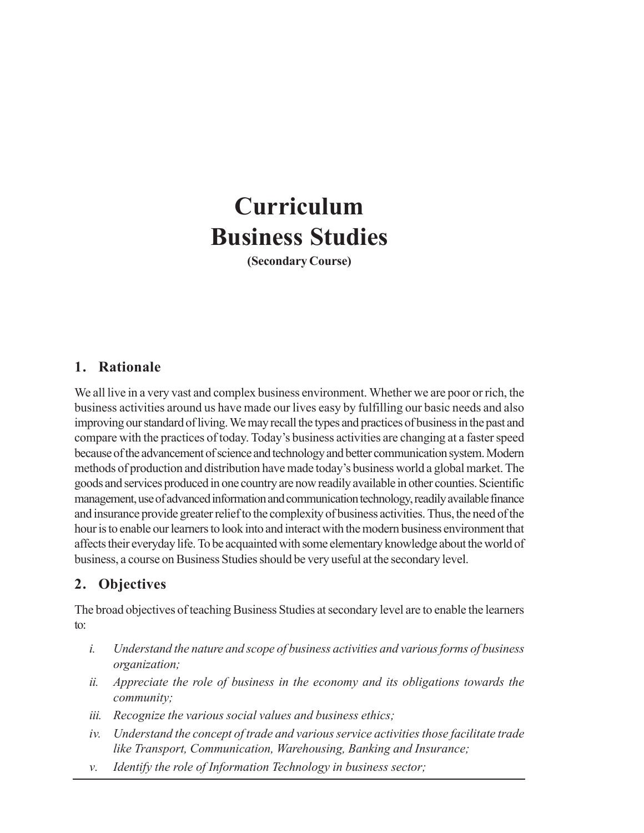# **Curriculum Business Studies**

**(Secondary Course)**

## **1. Rationale**

We all live in a very vast and complex business environment. Whether we are poor or rich, the business activities around us have made our lives easy by fulfilling our basic needs and also improving our standard of living. We may recall the types and practices of business in the past and compare with the practices of today. Today's business activities are changing at a faster speed because of the advancement of science and technology and better communication system. Modern methods of production and distribution have made today's business world a global market. The goods and services produced in one country are now readily available in other counties. Scientific management, use of advanced information and communication technology, readily available finance and insurance provide greater relief to the complexity of business activities. Thus, the need of the hour is to enable our learners to look into and interact with the modern business environment that affects their everyday life. To be acquainted with some elementary knowledge about the world of business, a course on Business Studies should be very useful at the secondary level.

# **2. Objectives**

The broad objectives of teaching Business Studies at secondary level are to enable the learners to:

- *i. Understand the nature and scope of business activities and various forms of business organization;*
- *ii. Appreciate the role of business in the economy and its obligations towards the community;*
- *iii. Recognize the various social values and business ethics;*
- *iv. Understand the concept of trade and various service activities those facilitate trade like Transport, Communication, Warehousing, Banking and Insurance;*
- *v. Identify the role of Information Technology in business sector;*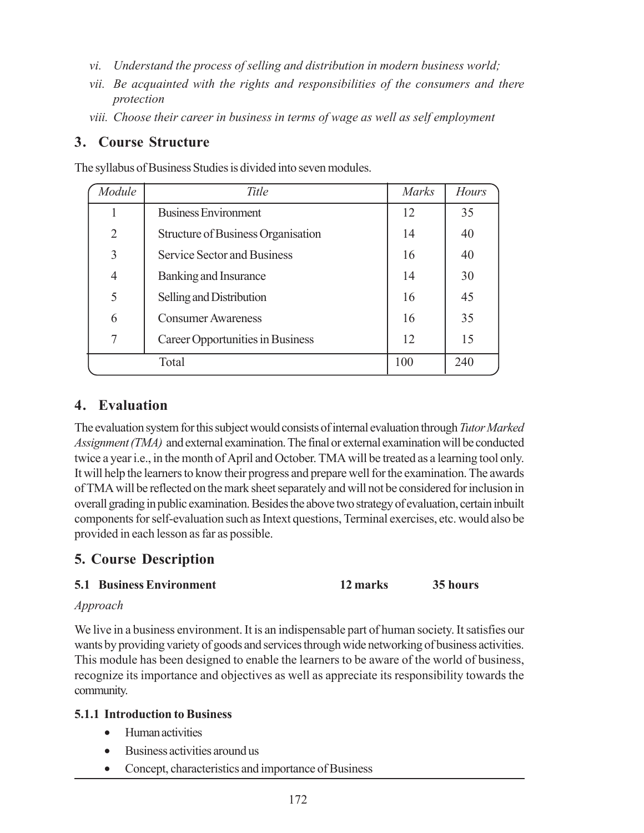- *vi. Understand the process of selling and distribution in modern business world;*
- *vii. Be acquainted with the rights and responsibilities of the consumers and there protection*
- *viii. Choose their career in business in terms of wage as well as self employment*

## **3. Course Structure**

The syllabus of Business Studies is divided into seven modules.

| Module         | Title                              | <i>Marks</i> | Hours |
|----------------|------------------------------------|--------------|-------|
|                | <b>Business Environment</b>        | 12           | 35    |
| $\overline{2}$ | Structure of Business Organisation | 14           | 40    |
| 3              | <b>Service Sector and Business</b> | 16           | 40    |
| $\overline{4}$ | Banking and Insurance              | 14           | 30    |
| 5              | Selling and Distribution           | 16           | 45    |
| 6              | <b>Consumer Awareness</b>          | 16           | 35    |
| 7              | Career Opportunities in Business   | 12           | 15    |
| Total          |                                    | 100          | 240   |

## **4. Evaluation**

The evaluation system for this subject would consists of internal evaluation through *Tutor Marked Assignment (TMA)* and external examination. The final or external examination will be conducted twice a year i.e., in the month of April and October. TMA will be treated as a learning tool only. It will help the learners to know their progress and prepare well for the examination. The awards of TMA will be reflected on the mark sheet separately and will not be considered for inclusion in overall grading in public examination. Besides the above two strategy of evaluation, certain inbuilt components for self-evaluation such as Intext questions, Terminal exercises, etc. would also be provided in each lesson as far as possible.

# **5. Course Description**

## **5.1 Business Environment 12 marks 35 hours**

## *Approach*

We live in a business environment. It is an indispensable part of human society. It satisfies our wants by providing variety of goods and services through wide networking of business activities. This module has been designed to enable the learners to be aware of the world of business, recognize its importance and objectives as well as appreciate its responsibility towards the community.

## **5.1.1 Introduction to Business**

- Human activities
- Business activities around us
- Concept, characteristics and importance of Business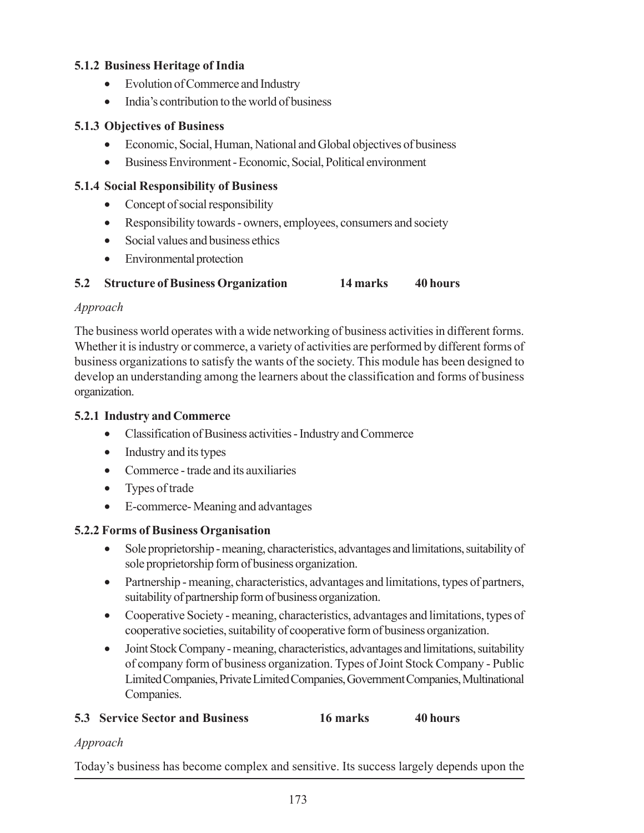## **5.1.2 Business Heritage of India**

- Evolution of Commerce and Industry
- India's contribution to the world of business

## **5.1.3 Objectives of Business**

- Economic, Social, Human, National and Global objectives of business
- Business Environment Economic, Social, Political environment

## **5.1.4 Social Responsibility of Business**

- Concept of social responsibility
- Responsibility towards owners, employees, consumers and society
- Social values and business ethics
- Environmental protection

## **5.2 Structure of Business Organization 14 marks 40 hours**

## *Approach*

The business world operates with a wide networking of business activities in different forms. Whether it is industry or commerce, a variety of activities are performed by different forms of business organizations to satisfy the wants of the society. This module has been designed to develop an understanding among the learners about the classification and forms of business organization.

## **5.2.1 Industry and Commerce**

- Classification of Business activities Industry and Commerce
- Industry and its types
- Commerce trade and its auxiliaries
- Types of trade
- E-commerce- Meaning and advantages

## **5.2.2 Forms of Business Organisation**

- Sole proprietorship meaning, characteristics, advantages and limitations, suitability of sole proprietorship form of business organization.
- Partnership meaning, characteristics, advantages and limitations, types of partners, suitability of partnership form of business organization.
- Cooperative Society meaning, characteristics, advantages and limitations, types of cooperative societies, suitability of cooperative form of business organization.
- Joint Stock Company meaning, characteristics, advantages and limitations, suitability of company form of business organization. Types of Joint Stock Company - Public Limited Companies, Private Limited Companies, Government Companies, Multinational Companies.

## **5.3 Service Sector and Business 16 marks 40 hours**

## *Approach*

Today's business has become complex and sensitive. Its success largely depends upon the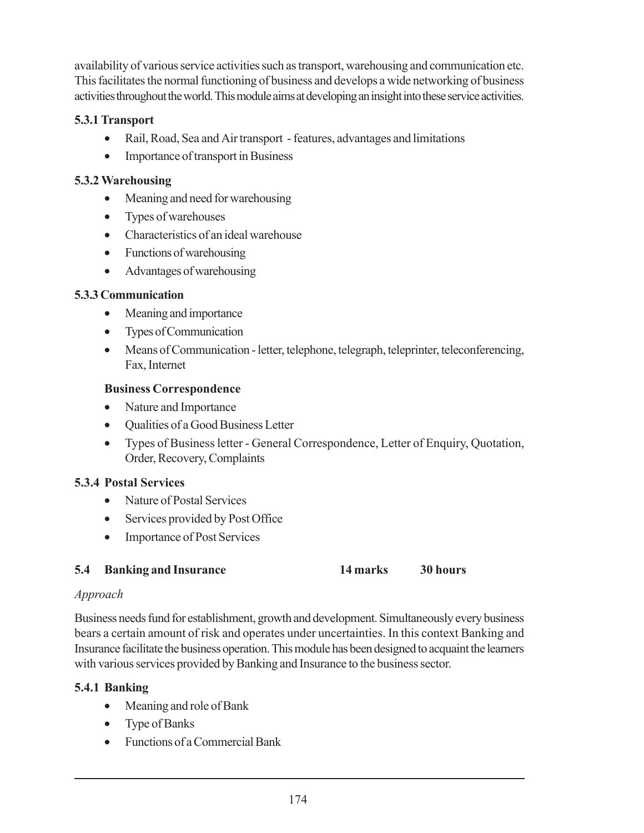availability of various service activities such as transport, warehousing and communication etc. This facilitates the normal functioning of business and develops a wide networking of business activities throughout the world. This module aims at developing an insight into these service activities.

## **5.3.1 Transport**

- Rail, Road, Sea and Air transport features, advantages and limitations
- Importance of transport in Business

## **5.3.2 Warehousing**

- Meaning and need for warehousing
- Types of warehouses
- Characteristics of an ideal warehouse
- Functions of warehousing
- Advantages of warehousing

## **5.3.3 Communication**

- Meaning and importance
- Types of Communication
- Means of Communication letter, telephone, telegraph, teleprinter, teleconferencing, Fax, Internet

## **Business Correspondence**

- Nature and Importance
- Oualities of a Good Business Letter
- Types of Business letter General Correspondence, Letter of Enquiry, Quotation, Order, Recovery, Complaints

## **5.3.4 Postal Services**

- Nature of Postal Services
- Services provided by Post Office
- Importance of Post Services

## **5.4 Banking and Insurance 14 marks 30 hours**

## *Approach*

Business needs fund for establishment, growth and development. Simultaneously every business bears a certain amount of risk and operates under uncertainties. In this context Banking and Insurance facilitate the business operation. This module has been designed to acquaint the learners with various services provided by Banking and Insurance to the business sector.

## **5.4.1 Banking**

- Meaning and role of Bank
- Type of Banks
- Functions of a Commercial Bank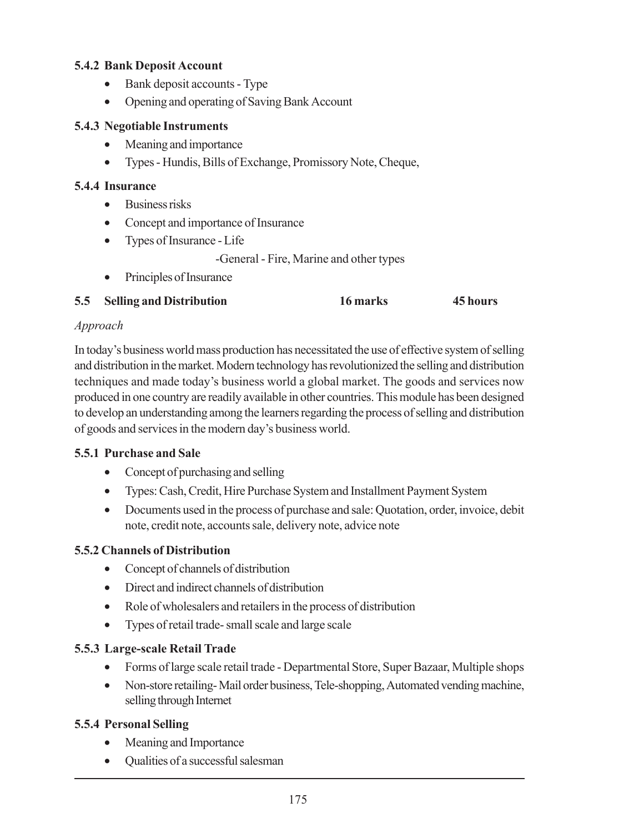## **5.4.2 Bank Deposit Account**

- Bank deposit accounts Type
- Opening and operating of Saving Bank Account

## **5.4.3 Negotiable Instruments**

- Meaning and importance
- Types Hundis, Bills of Exchange, Promissory Note, Cheque,

## **5.4.4 Insurance**

- Business risks
- Concept and importance of Insurance
- Types of Insurance Life
	- -General Fire, Marine and other types
- Principles of Insurance

## **5.5 Selling and Distribution 16 marks 45 hours**

## *Approach*

In today's business world mass production has necessitated the use of effective system of selling and distribution in the market. Modern technology has revolutionized the selling and distribution techniques and made today's business world a global market. The goods and services now produced in one country are readily available in other countries. This module has been designed to develop an understanding among the learners regarding the process of selling and distribution of goods and services in the modern day's business world.

## **5.5.1 Purchase and Sale**

- Concept of purchasing and selling
- Types: Cash, Credit, Hire Purchase System and Installment Payment System
- Documents used in the process of purchase and sale: Ouotation, order, invoice, debit note, credit note, accounts sale, delivery note, advice note

## **5.5.2 Channels of Distribution**

- Concept of channels of distribution
- Direct and indirect channels of distribution
- Role of wholesalers and retailers in the process of distribution
- Types of retail trade- small scale and large scale

## **5.5.3 Large-scale Retail Trade**

- Forms of large scale retail trade Departmental Store, Super Bazaar, Multiple shops
- Non-store retailing-Mail order business, Tele-shopping, Automated vending machine, selling through Internet

## **5.5.4 Personal Selling**

- Meaning and Importance
- Qualities of a successful salesman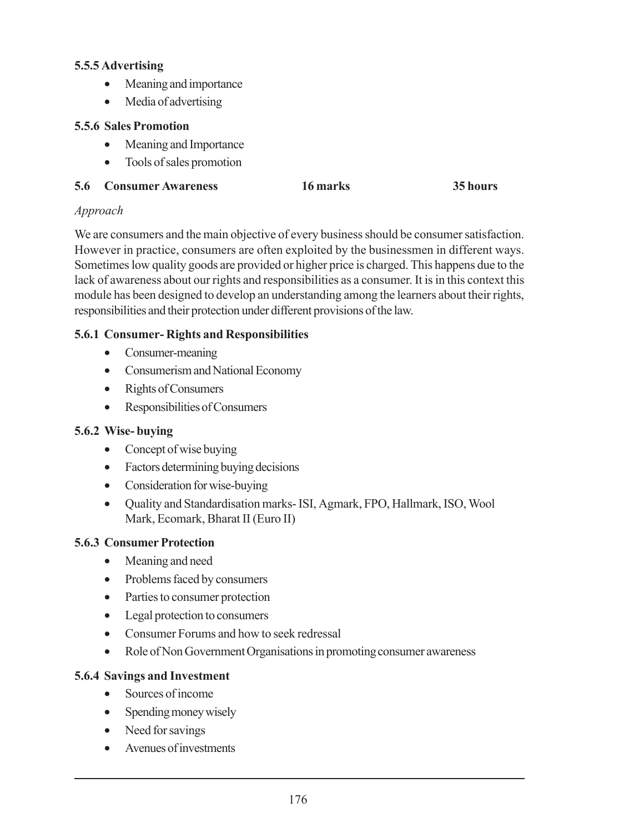## **5.5.5 Advertising**

- Meaning and importance
- Media of advertising

## **5.5.6 Sales Promotion**

- Meaning and Importance
- Tools of sales promotion
- **5.6 Consumer Awareness 16 marks 35 hours**

## *Approach*

We are consumers and the main objective of every business should be consumer satisfaction. However in practice, consumers are often exploited by the businessmen in different ways. Sometimes low quality goods are provided or higher price is charged. This happens due to the lack of awareness about our rights and responsibilities as a consumer. It is in this context this module has been designed to develop an understanding among the learners about their rights, responsibilities and their protection under different provisions of the law.

## **5.6.1 Consumer- Rights and Responsibilities**

- Consumer-meaning
- Consumerism and National Economy
- Rights of Consumers
- Responsibilities of Consumers

## **5.6.2 Wise- buying**

- Concept of wise buying
- Factors determining buying decisions
- Consideration for wise-buying
- Quality and Standardisation marks- ISI, Agmark, FPO, Hallmark, ISO, Wool Mark, Ecomark, Bharat II (Euro II)

## **5.6.3 Consumer Protection**

- Meaning and need
- Problems faced by consumers
- Parties to consumer protection
- Legal protection to consumers
- Consumer Forums and how to seek redressal
- Role of Non Government Organisations in promoting consumer awareness

## **5.6.4 Savings and Investment**

- Sources of income
- Spending money wisely
- Need for savings
- Avenues of investments